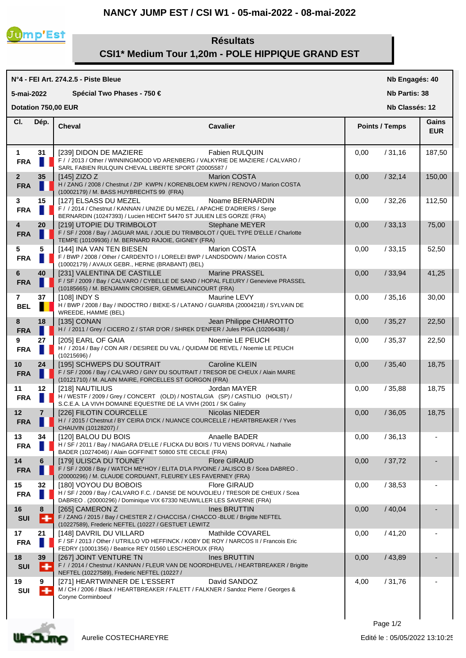## **NANCY JUMP EST / CSI W1 - 05-mai-2022 - 08-mai-2022**



# **Résultats CSI1\* Medium Tour 1,20m - POLE HIPPIQUE GRAND EST**

#### **N°4 - FEI Art. 274.2.5 - Piste Bleue Cheval Cavalier Cl. Nb Engagés: 40 Nb Partis: 38 Nb Classés: 12 Gains 5-mai-2022 Spécial Two Phases - 750 € Points / Temps EUR Dotation 750,00 EUR Dép. 1 31** [239] DIDON DE MAZIERE Fabien RULQUIN 0,00 / 31,16 187,50 **FRA** F / / 2013 / Other / WINNINGMOOD VD ARENBERG / VALKYRIE DE MAZIERE / CALVARO / SARL FABIEN RULQUIN CHEVAL LIBERTE SPORT (20005587 / **2 35** [145] ZIZO Z Marion COSTA 0,00 / 32,14 150,00 **FRA**  $\begin{bmatrix} \bullet & \bullet \\ \bullet & \bullet \end{bmatrix}$  H / ZANG / 2008 / Chestnut / ZIP KWPN / KORENBLOEM KWPN / RENOVO / Marion COSTA (10002179) / M. BASS HUYBRECHTS 99 (FRA) **3 15**  $\begin{bmatrix} 127 \end{bmatrix}$  ELSASS DU MEZEL Noame BERNARDIN  $\begin{bmatrix} 0.00 & /32.26 \\ 0.00 & /32.26 \end{bmatrix}$  112,50 **FRA** F / / 2014 / Chestnut / KANNAN / UNIZIE DU MEZEL / APACHE D'ADRIERS / Serge BERNARDIN (10247393) / Lucien HECHT 54470 ST JULIEN LES GORZE (FRA) **4 20**  $\begin{bmatrix} 219 \end{bmatrix}$  UTOPIE DU TRIMBOLOT Stephane MEYER  $\begin{bmatrix} 0.00 & /33.13 \end{bmatrix}$  75,00 **FRA** F / SF / 2008 / Bay / JAGUAR MAIL / JOLIE DU TRIMBOLOT / QUEL TYPE D'ELLE / Charlotte TEMPE (10109936) / M. BERNARD RAJOIE, GIGNEY (FRA) **5 5**  $\begin{bmatrix} 144 \end{bmatrix}$  INA VAN TEN BIESEN Marion COSTA 0,00 / 33,15 52,50 FRA **F** F / BWP / 2008 / Other / CARDENTO I / LORELEI BWP / LANDSDOWN / Marion COSTA (10002179) / AVAUX GEBR., HERNE (BRABANT) (BEL) **6 40**  $\begin{bmatrix} 231 \end{bmatrix}$  VALENTINA DE CASTILLE Marine PRASSEL **1989 100 133,94**  $\begin{bmatrix} 41,25 \end{bmatrix}$ **FRA** F / SF / 2009 / Bay / CALVARO / CYBELLE DE SAND / HOPAL FLEURY / Genevieve PRASSEL (10185665) / M. BENJAMIN CROISIER, GEMMELAINCOURT (FRA) **7 37** [108] INDY S Maurine LEVY 0,00 / 35,16 30,00 **BEL** H / BWP / 2008 / Bay / INDOCTRO / BIEKE-S / LATANO / GUARIBA (20004218) / SYLVAIN DE WREEDE, HAMME (BEL) **8 18** [135] CONAN **Jean Philippe CHIAROTTO** 18,00 135,27 22,50 **FRA** H / 2011 / Grey / CICERO Z / STAR D'OR / SHREK D'ENFER / Jules PIGA (10206438) / **9 27** [205] EARL OF GAIA Noemie LE PEUCH 0,00 / 35,37 22,50 **FRA** H / / 2014 / Bay / CON AIR / DESIREE DU VAL / QUIDAM DE REVEL / Noemie LE PEUCH (10215696) / **10 24**  $[$  195] SCHWEPS DU SOUTRAIT **Caroline KLEIN 10,00**  $[$  0,00  $]$  18,75 **FRA** F / SF / 2006 / Bay / CALVARO / GINY DU SOUTRAIT / TRESOR DE CHEUX / Alain MAIRE (10121710) / M. ALAIN MAIRE, FORCELLES ST GORGON (FRA) **11 12** [218] NAUTILIUS Jordan MAYER 0,00 / 35,88 18,75 **FRA** H / WESTF / 2009 / Grey / CONCERT (OLD) / NOSTALGIA (SP) / CASTILIO (HOLST) / S.C.E.A. LA VIVH DOMAINE EQUESTRE DE LA VIVH (2001 / SK Galiny **12 7** [226] FILOTIN COURCELLE Nicolas NIEDER 0,00 / 36,05 18,75 **FRA** H/ / 2015 / Chestnut / BY CEIRA D'ICK / NUANCE COURCELLE / HEARTBREAKER / Yves CHAUVIN (10128207) / **13 34**  $\left[$  120] BALOU DU BOIS Anaelle BADER  $\left[$  0,00  $/$  36.13 **FRA H** / SF / 2011 / Bay / NIAGARA D'ELLE / FLICKA DU BOIS / TU VIENS DORVAL / Nathalie BADER (10274046) / Alain GOFFINET 50800 STE CECILE (FRA) **14 6** | [179] ULISCA DU TOUNEY Flore GIRAUD | 0,00 / 37,72 **FRA** F / SF / 2008 / Bay / WATCH ME\*HOY / ELITA D'LA PIVOINE / JALISCO B / Scea DABREO . (20000296) / M. CLAUDE CORDUANT, FLEUREY LES FAVERNEY (FRA) **15 32** [180] VOYOU DU BOBOIS Flore GIRAUD 0,00 / 38,53 - **FRA** H / SF / 2009 / Bay / CALVARO F.C. / DANSE DE NOUVOLIEU / TRESOR DE CHEUX / Scea DABREO . (20000296) / Dominique VIX 67330 NEUWILLER LES SAVERNE (FRA) **16 8**  $\begin{bmatrix} 265 \end{bmatrix}$  CAMERON Z **Ines BRUTTIN**  $\begin{bmatrix} 0.00 & /40.04 \end{bmatrix}$ **SUI** F / ZANG / 2015 / Bay / CHESTER Z / CHACCISA / CHACCO -BLUE / Brigitte NEFTEL (10227589), Frederic NEFTEL (10227 / GESTUET LEWITZ **17 21**  $\begin{bmatrix} 148 \end{bmatrix}$  DAVRIL DU VILLARD Mathilde COVAREL **0.00** / 41,20 **FRA** F / SF / 2013 / Other / UTRILLO VD HEFFINCK / KOBY DE ROY / NARCOS II / Francois Eric FEDRY (10001356) / Beatrice REY 01560 LESCHEROUX (FRA) **18 39** [267] JOINT VENTURE TN Ines BRUTTIN 0,00 / 43,89 - SUI F / / 2014 / Chestnut / KANNAN / FLEUR VAN DE NOORDHEUVEL / HEARTBREAKER / Brigitte NEFTEL (10227589), Frederic NEFTEL (10227 / **19 9** [271] HEARTWINNER DE L'ESSERT David SANDOZ 4,00 / 31,76 - SUI M/CH/2006 / Black / HEARTBREAKER / FALETT / FALKNER / Sandoz Pierre / Georges & Coryne Corminboeuf